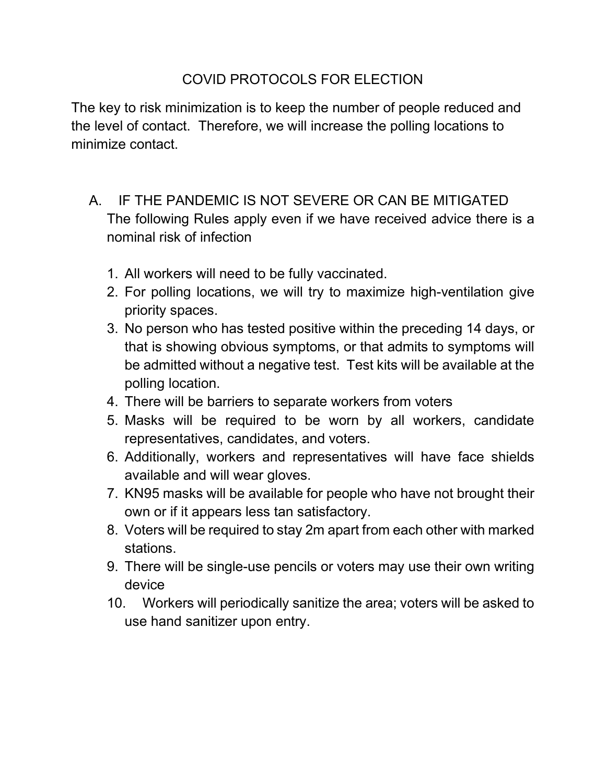## COVID PROTOCOLS FOR ELECTION

The key to risk minimization is to keep the number of people reduced and the level of contact. Therefore, we will increase the polling locations to minimize contact.

## A. IF THE PANDEMIC IS NOT SEVERE OR CAN BE MITIGATED The following Rules apply even if we have received advice there is a nominal risk of infection

- 1. All workers will need to be fully vaccinated.
- 2. For polling locations, we will try to maximize high-ventilation give priority spaces.
- 3. No person who has tested positive within the preceding 14 days, or that is showing obvious symptoms, or that admits to symptoms will be admitted without a negative test. Test kits will be available at the polling location.
- 4. There will be barriers to separate workers from voters
- 5. Masks will be required to be worn by all workers, candidate representatives, candidates, and voters.
- 6. Additionally, workers and representatives will have face shields available and will wear gloves.
- 7. KN95 masks will be available for people who have not brought their own or if it appears less tan satisfactory.
- 8. Voters will be required to stay 2m apart from each other with marked stations.
- 9. There will be single-use pencils or voters may use their own writing device
- 10. Workers will periodically sanitize the area; voters will be asked to use hand sanitizer upon entry.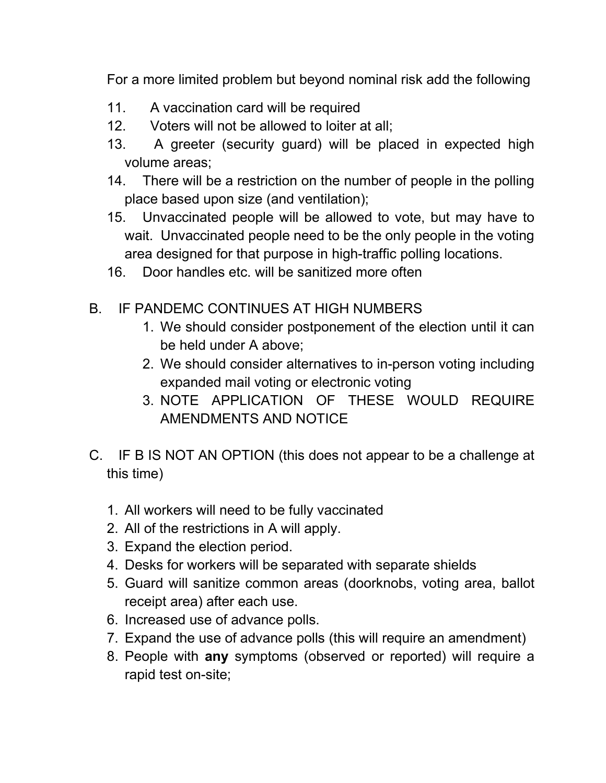For a more limited problem but beyond nominal risk add the following

- 11. A vaccination card will be required
- 12. Voters will not be allowed to loiter at all;
- 13. A greeter (security guard) will be placed in expected high volume areas;
- 14. There will be a restriction on the number of people in the polling place based upon size (and ventilation);
- 15. Unvaccinated people will be allowed to vote, but may have to wait. Unvaccinated people need to be the only people in the voting area designed for that purpose in high-traffic polling locations.
- 16. Door handles etc. will be sanitized more often
- B. IF PANDEMC CONTINUES AT HIGH NUMBERS
	- 1. We should consider postponement of the election until it can be held under A above;
	- 2. We should consider alternatives to in-person voting including expanded mail voting or electronic voting
	- 3. NOTE APPLICATION OF THESE WOULD REQUIRE AMENDMENTS AND NOTICE
- C. IF B IS NOT AN OPTION (this does not appear to be a challenge at this time)
	- 1. All workers will need to be fully vaccinated
	- 2. All of the restrictions in A will apply.
	- 3. Expand the election period.
	- 4. Desks for workers will be separated with separate shields
	- 5. Guard will sanitize common areas (doorknobs, voting area, ballot receipt area) after each use.
	- 6. Increased use of advance polls.
	- 7. Expand the use of advance polls (this will require an amendment)
	- 8. People with **any** symptoms (observed or reported) will require a rapid test on-site;